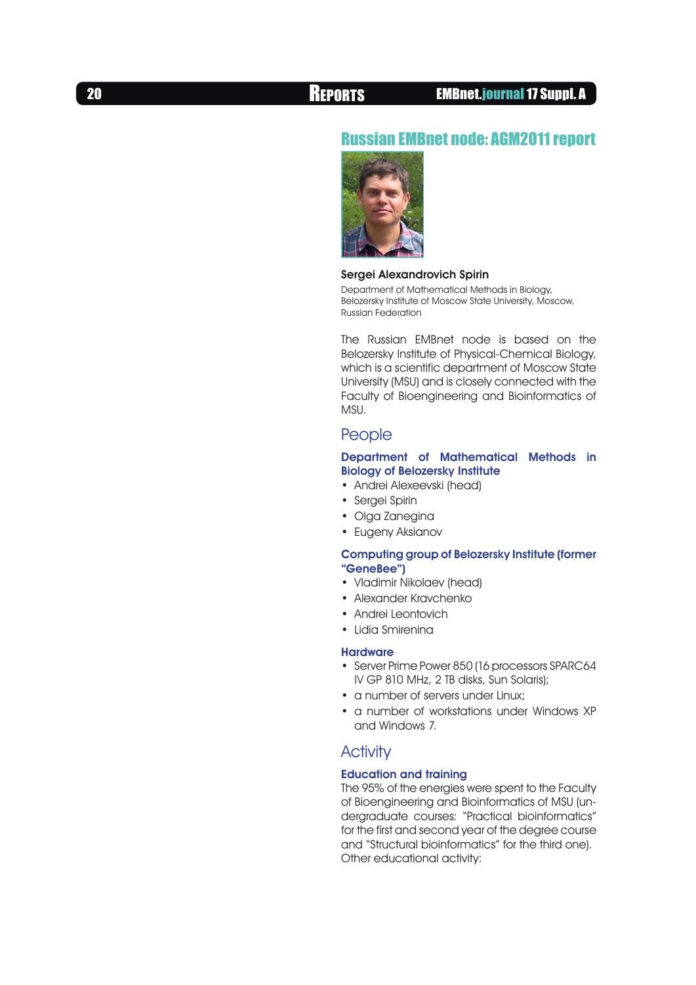# Russian EMBnet node: AGM2011 report



## Sergei Alexandrovich Spirin

Department of Mathematical Methods in Biology, Belozersky Institute of Moscow State University, Moscow, Russian Federation

The Russian EMBnet node is based on the Belozersky Institute of Physical-Chemical Biology, which is a scientific department of Moscow State University (MSU) and is closely connected with the Faculty of Bioengineering and Bioinformatics of MSU.

# **People**

## Department of Mathematical Methods in Biology of Belozersky Institute

- • Andrei Alexeevski (head)
- Sergei Spirin
- Olga Zanegina
- Eugeny Aksianov

## Computing group of Belozersky Institute (former "GeneBee")

- • Vladimir Nikolaev (head)
- • Alexander Kravchenko
- Andrei Leontovich
- Lidia Smirenina

## **Hardware**

- Server Prime Power 850 (16 processors SPARC64 IV GP 810 MHz, 2 TB disks, Sun Solaris);
- a number of servers under Linux;
- a number of workstations under Windows XP and Windows 7.

# **Activity**

# Education and training

The 95% of the energies were spent to the Faculty of Bioengineering and Bioinformatics of MSU (undergraduate courses: "Practical bioinformatics" for the first and second year of the degree course and "Structural bioinformatics" for the third one). Other educational activity: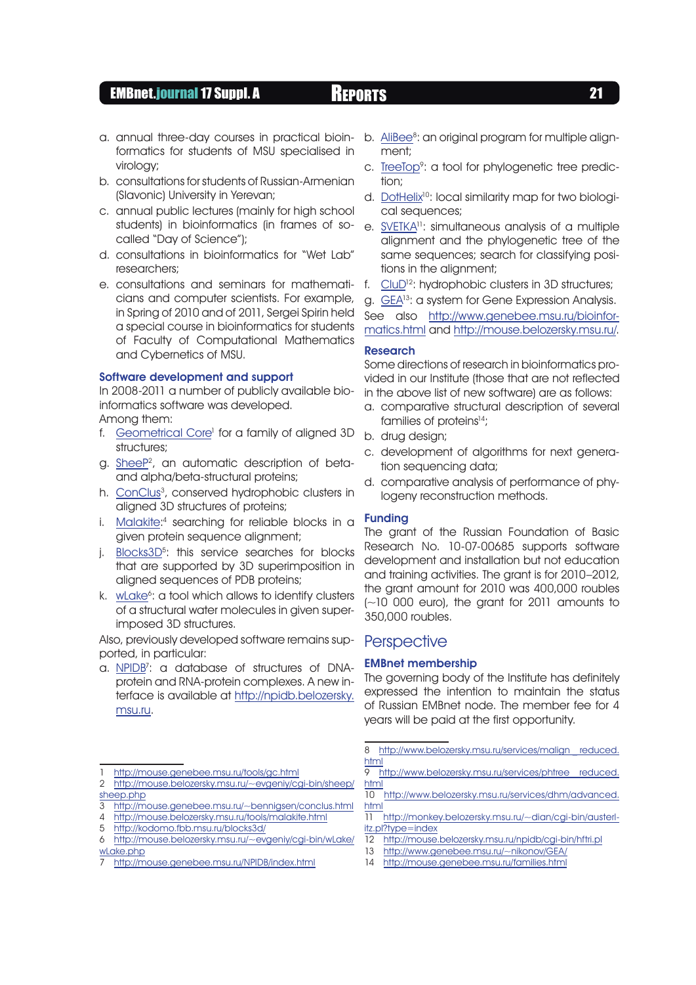# EMBnet.journal 17 Suppl. A REPORTS 21

- a. annual three-day courses in practical bioinformatics for students of MSU specialised in virology;
- b. consultations for students of Russian-Armenian (Slavonic) University in Yerevan;
- c. annual public lectures (mainly for high school students) in bioinformatics (in frames of socalled "Day of Science");
- d. consultations in bioinformatics for "Wet Lab" researchers;
- e. consultations and seminars for mathematicians and computer scientists. For example, in Spring of 2010 and of 2011, Sergei Spirin held a special course in bioinformatics for students of Faculty of Computational Mathematics and Cybernetics of MSU.

## Software development and support

In 2008-2011 a number of publicly available bioinformatics software was developed.

Among them:

- f. Geometrical Core<sup>1</sup> for a family of aligned 3D structures;
- g. SheeP<sup>2</sup>, an automatic description of betaand alpha/beta-structural proteins;
- h. ConClus<sup>3</sup>, conserved hydrophobic clusters in aligned 3D structures of proteins;
- i. [Malakite:](http://mouse.belozersky.msu.ru/tools/malakite.html)4 searching for reliable blocks in a given protein sequence alignment;
- j. <u>Blocks3D</u><sup>5</sup>: this service searches for blocks that are supported by 3D superimposition in aligned sequences of PDB proteins;
- k. wLake<sup>6</sup>: a tool which allows to identify clusters of a structural water molecules in given superimposed 3D structures.

Also, previously developed software remains supported, in particular:

a. <u>[NPIDB](http://mouse.genebee.msu.ru/NPIDB/index.html)</u><sup>7</sup>: a database of structures of DNAprotein and RNA-protein complexes. A new interface is available at [http://npidb.belozersky.](http://npidb.belozersky.msu.ru) [msu.ru.](http://npidb.belozersky.msu.ru)

- 4 <http://mouse.belozersky.msu.ru/tools/malakite.html>
- 5 <http://kodomo.fbb.msu.ru/blocks3d/>
- b. [AliBee](http://www.belozersky.msu.ru/services/malign_reduced.html)<sup>8</sup>: an original program for multiple alignment;
- c. [TreeTop](http://www.belozersky.msu.ru/services/phtree_reduced.html)<sup>9</sup>: a tool for phylogenetic tree prediction;
- d. [DotHelix](http://www.belozersky.msu.ru/services/dhm/advanced.html)<sup>10</sup>: local similarity map for two biological sequences;
- e. [SVETKA](http://monkey.belozersky.msu.ru/~dian/cgi-bin/austerlitz.pl?type=index)11: simultaneous analysis of a multiple alignment and the phylogenetic tree of the same sequences; search for classifying positions in the alignment;
- f. [CluD1](http://mouse.belozersky.msu.ru/npidb/cgi-bin/hftri.pl)2: hydrophobic clusters in 3D structures;
- g. [GEA](http://www.genebee.msu.ru/~nikonov/GEA/)13: a system for Gene Expression Analysis.

See also [http://www.genebee.msu.ru/bioinfor](See also http://www.genebee.msu.ru/bioinformatics.html and http://mouse.belozersky.msu.ru/)[matics.html](See also http://www.genebee.msu.ru/bioinformatics.html and http://mouse.belozersky.msu.ru/) and [http://mouse.belozersky.msu.ru/](See also http://www.genebee.msu.ru/bioinformatics.html and http://mouse.belozersky.msu.ru/).

# Research

Some directions of research in bioinformatics provided in our Institute (those that are not reflected in the above list of new software) are as follows:

- a. comparative structural description of several families of proteins<sup>14</sup>;
- b. drug design;
- c. development of algorithms for next generation sequencing data;
- d. comparative analysis of performance of phylogeny reconstruction methods.

### Funding

The grant of the Russian Foundation of Basic Research No. 10-07-00685 supports software development and installation but not education and training activities. The grant is for 2010–2012, the grant amount for 2010 was 400,000 roubles (~10 000 euro), the grant for 2011 amounts to 350,000 roubles.

# **Perspective**

## EMBnet membership

The governing body of the Institute has definitely expressed the intention to maintain the status of Russian EMBnet node. The member fee for 4 years will be paid at the first opportunity.

8 http://www.belozersky.msu.ru/services/malign reduced. [html](http://www.belozersky.msu.ru/services/malign_reduced.html)

9 http://www.belozersky.msu.ru/services/phtree reduced. [html](http://www.belozersky.msu.ru/services/phtree_reduced.html)

14 <http://mouse.genebee.msu.ru/families.html>

<sup>1</sup> <http://mouse.genebee.msu.ru/tools/gc.html>

<sup>2</sup> [http://mouse.belozersky.msu.ru/~evgeniy/cgi-bin/sheep/](http://mouse.belozersky.msu.ru/~evgeniy/cgi-bin/sheep/sheep.php) [sheep.php](http://mouse.belozersky.msu.ru/~evgeniy/cgi-bin/sheep/sheep.php)

<sup>3</sup> <http://mouse.genebee.msu.ru/~bennigsen/conclus.html>

<sup>6</sup> [http://mouse.belozersky.msu.ru/~evgeniy/cgi-bin/wLake/](http://mouse.belozersky.msu.ru/~evgeniy/cgi-bin/wLake/wLake.php) [wLake.php](http://mouse.belozersky.msu.ru/~evgeniy/cgi-bin/wLake/wLake.php)

<sup>7</sup> <http://mouse.genebee.msu.ru/NPIDB/index.html>

<sup>10</sup> [http://www.belozersky.msu.ru/services/dhm/advanced.](http://www.belozersky.msu.ru/services/dhm/advanced.html) [html](http://www.belozersky.msu.ru/services/dhm/advanced.html)

<sup>11</sup> [http://monkey.belozersky.msu.ru/~dian/cgi-bin/austerl](http://monkey.belozersky.msu.ru/~dian/cgi-bin/austerlitz.pl?type=index)[itz.pl?type=index](http://monkey.belozersky.msu.ru/~dian/cgi-bin/austerlitz.pl?type=index)

<sup>12</sup> <http://mouse.belozersky.msu.ru/npidb/cgi-bin/hftri.pl>

<sup>13</sup> <http://www.genebee.msu.ru/~nikonov/GEA/>